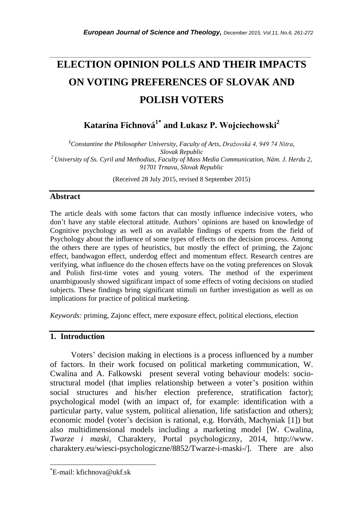# *\_\_\_\_\_\_\_\_\_\_\_\_\_\_\_\_\_\_\_\_\_\_\_\_\_\_\_\_\_\_\_\_\_\_\_\_\_\_\_\_\_\_\_\_\_\_\_\_\_\_\_\_\_\_\_\_\_\_\_\_\_\_\_\_\_\_\_\_\_\_\_* **ELECTION OPINION POLLS AND THEIR IMPACTS ON VOTING PREFERENCES OF SLOVAK AND POLISH VOTERS**

**Katarína Fichnová1\* and Łukasz P. Wojciechowski<sup>2</sup>**

*<sup>1</sup>Constantine the Philosopher University, Faculty of Arts, Dražovská 4, 949 74 Nitra, Slovak Republic <sup>2</sup> University of Ss. Cyril and Methodius, Faculty of Mass Media Communication, Nám. J. Herdu 2, 91701 Trnava, Slovak Republic*

(Received 28 July 2015, revised 8 September 2015)

### **Abstract**

The article deals with some factors that can mostly influence indecisive voters, who don't have any stable electoral attitude. Authors' opinions are based on knowledge of Cognitive psychology as well as on available findings of experts from the field of Psychology about the influence of some types of effects on the decision process. Among the others there are types of heuristics, but mostly the effect of priming, the Zajonc effect, bandwagon effect, underdog effect and momentum effect. Research centres are verifying, what influence do the chosen effects have on the voting preferences on Slovak and Polish first-time votes and young voters. The method of the experiment unambiguously showed significant impact of some effects of voting decisions on studied subjects. These findings bring significant stimuli on further investigation as well as on implications for practice of political marketing.

*Keywords:* priming, Zajonc effect, mere exposure effect, political elections, election

#### **1. Introduction**

Voters' decision making in elections is a process influenced by a number of factors. In their work focused on political marketing communication, W. Cwalina and A. Falkowski present several voting behaviour models: sociostructural model (that implies relationship between a voter's position within social structures and his/her election preference, stratification factor); psychological model (with an impact of, for example: identification with a particular party, value system, political alienation, life satisfaction and others); economic model (voter's decision is rational, e.g. Horváth, Machyniak [1]) but also multidimensional models including a marketing model [W. Cwalina, *Twarze i maski*, Charaktery, Portal psychologiczny, 2014, http://www. charaktery.eu/wiesci-psychologiczne/8852/Twarze-i-maski-/]. There are also

l

<sup>\*</sup>E-mail: kfichnova@ukf.sk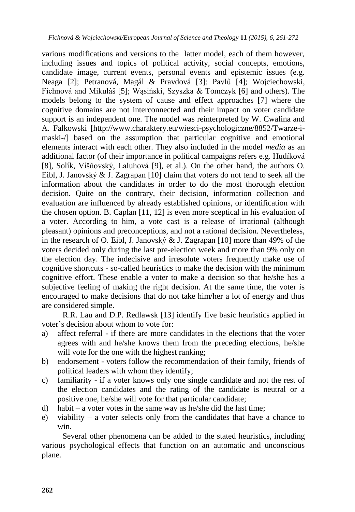various modifications and versions to the latter model, each of them however, including issues and topics of political activity, social concepts, emotions, candidate image, current events, personal events and epistemic issues (e.g. Neaga [2]; Petranová, Magál & Pravdová [3]; Pavlů [4]; Wojciechowski, Fichnová and Mikuláš [5]; Wąsiński, Szyszka & Tomczyk [6] and others). The models belong to the system of cause and effect approaches [7] where the cognitive domains are not interconnected and their impact on voter candidate support is an independent one. The model was reinterpreted by W. Cwalina and A. Falkowski [http://www.charaktery.eu/wiesci-psychologiczne/8852/Twarze-imaski-/] based on the assumption that particular cognitive and emotional elements interact with each other. They also included in the model *media* as an additional factor (of their importance in political campaigns refers e.g. Hudíková [8], Solík, Višňovský, Laluhová [9], et al.). On the other hand, the authors O. Eibl, J. Janovský & J. Zagrapan [10] claim that voters do not tend to seek all the information about the candidates in order to do the most thorough election decision. Quite on the contrary, their decision, information collection and evaluation are influenced by already established opinions, or identification with the chosen option. B. Caplan [11, 12] is even more sceptical in his evaluation of a voter. According to him, a vote cast is a release of irrational (although pleasant) opinions and preconceptions, and not a rational decision. Nevertheless, in the research of O. Eibl, J. Janovský & J. Zagrapan [10] more than 49% of the voters decided only during the last pre-election week and more than 9% only on the election day. The indecisive and irresolute voters frequently make use of cognitive shortcuts - so-called heuristics to make the decision with the minimum cognitive effort. These enable a voter to make a decision so that he/she has a subjective feeling of making the right decision. At the same time, the voter is encouraged to make decisions that do not take him/her a lot of energy and thus are considered simple.

R.R. Lau and D.P. Redlawsk [13] identify five basic heuristics applied in voter's decision about whom to vote for:

- a) affect referral if there are more candidates in the elections that the voter agrees with and he/she knows them from the preceding elections, he/she will vote for the one with the highest ranking;
- b) endorsement voters follow the recommendation of their family, friends of political leaders with whom they identify;
- c) familiarity if a voter knows only one single candidate and not the rest of the election candidates and the rating of the candidate is neutral or a positive one, he/she will vote for that particular candidate;
- d) habit a voter votes in the same way as he/she did the last time;
- e) viability a voter selects only from the candidates that have a chance to win.

Several other phenomena can be added to the stated heuristics, including various psychological effects that function on an automatic and unconscious plane.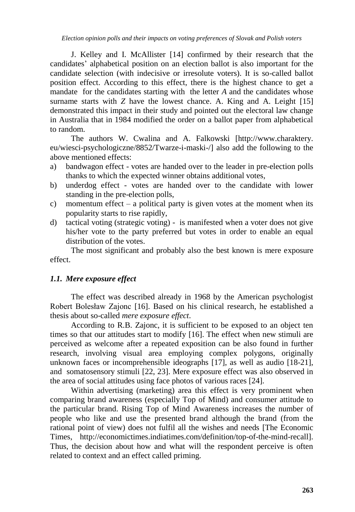J. Kelley and I. McAllister [14] confirmed by their research that the candidates' alphabetical position on an election ballot is also important for the candidate selection (with indecisive or irresolute voters). It is so-called ballot position effect. According to this effect, there is the highest chance to get a mandate for the candidates starting with the letter *A* and the candidates whose surname starts with *Z* have the lowest chance. A. King and A. Leight [15] demonstrated this impact in their study and pointed out the electoral law change in Australia that in 1984 modified the order on a ballot paper from alphabetical to random.

The authors W. Cwalina and A. Falkowski [http://www.charaktery. eu/wiesci-psychologiczne/8852/Twarze-i-maski-/] also add the following to the above mentioned effects:

- a) bandwagon effect votes are handed over to the leader in pre-election polls thanks to which the expected winner obtains additional votes,
- b) underdog effect votes are handed over to the candidate with lower standing in the pre-election polls,
- c) momentum effect a political party is given votes at the moment when its popularity starts to rise rapidly,
- d) tactical voting (strategic voting) is manifested when a voter does not give his/her vote to the party preferred but votes in order to enable an equal distribution of the votes.

The most significant and probably also the best known is mere exposure effect.

# *1.1. Mere exposure effect*

The effect was described already in 1968 by the American psychologist Robert Bolesław Zajonc [16]. Based on his clinical research, he established a thesis about so-called *mere exposure effect*.

According to R.B. Zajonc, it is sufficient to be exposed to an object ten times so that our attitudes start to modify [16]. The effect when new stimuli are perceived as welcome after a repeated exposition can be also found in further research, involving visual area employing complex polygons, originally unknown faces or incomprehensible ideographs [17], as well as audio [18-21], and somatosensory stimuli [22, 23]. Mere exposure effect was also observed in the area of social attitudes using face photos of various races [24].

Within advertising (marketing) area this effect is very prominent when comparing brand awareness (especially Top of Mind) and consumer attitude to the particular brand. Rising Top of Mind Awareness increases the number of people who like and use the presented brand although the brand (from the rational point of view) does not fulfil all the wishes and needs [The Economic Times, http://economictimes.indiatimes.com/definition/top-of-the-mind-recall]. Thus, the decision about how and what will the respondent perceive is often related to context and an effect called priming.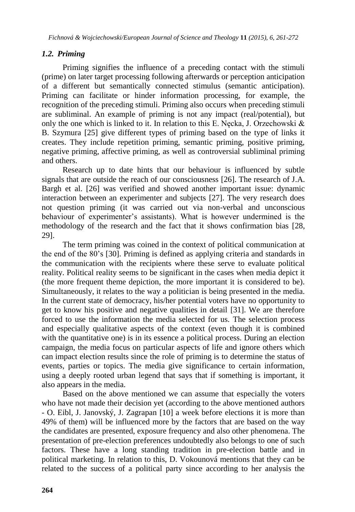# *1.2. Priming*

Priming signifies the influence of a preceding contact with the stimuli (prime) on later target processing following afterwards or perception anticipation of a different but semantically connected stimulus (semantic anticipation). Priming can facilitate or hinder information processing, for example, the recognition of the preceding stimuli. Priming also occurs when preceding stimuli are subliminal. An example of priming is not any impact (real/potential), but only the one which is linked to it. In relation to this E. Nęcka, J. Orzechowski & B. Szymura [25] give different types of priming based on the type of links it creates. They include repetition priming, semantic priming, positive priming, negative priming, affective priming, as well as controversial subliminal priming and others.

Research up to date hints that our behaviour is influenced by subtle signals that are outside the reach of our consciousness [26]. The research of J.A. Bargh et al. [26] was verified and showed another important issue: dynamic interaction between an experimenter and subjects [27]. The very research does not question priming (it was carried out via non-verbal and unconscious behaviour of experimenter's assistants). What is however undermined is the methodology of the research and the fact that it shows confirmation bias [28, 29].

The term priming was coined in the context of political communication at the end of the 80's [30]. Priming is defined as applying criteria and standards in the communication with the recipients where these serve to evaluate political reality. Political reality seems to be significant in the cases when media depict it (the more frequent theme depiction, the more important it is considered to be). Simultaneously, it relates to the way a politician is being presented in the media. In the current state of democracy, his/her potential voters have no opportunity to get to know his positive and negative qualities in detail [31]. We are therefore forced to use the information the media selected for us. The selection process and especially qualitative aspects of the context (even though it is combined with the quantitative one) is in its essence a political process. During an election campaign, the media focus on particular aspects of life and ignore others which can impact election results since the role of priming is to determine the status of events, parties or topics. The media give significance to certain information, using a deeply rooted urban legend that says that if something is important, it also appears in the media.

Based on the above mentioned we can assume that especially the voters who have not made their decision yet (according to the above mentioned authors - O. Eibl, J. Janovský, J. Zagrapan [10] a week before elections it is more than 49% of them) will be influenced more by the factors that are based on the way the candidates are presented, exposure frequency and also other phenomena. The presentation of pre-election preferences undoubtedly also belongs to one of such factors. These have a long standing tradition in pre-election battle and in political marketing. In relation to this, D. Vokounová mentions that they can be related to the success of a political party since according to her analysis the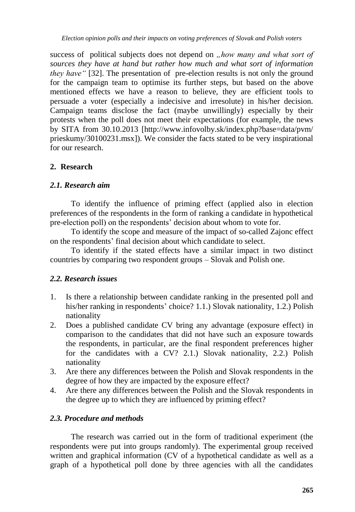*Election opinion polls and their impacts on voting preferences of Slovak and Polish voters*

success of political subjects does not depend on *"how many and what sort of sources they have at hand but rather how much and what sort of information they have* " [32]. The presentation of pre-election results is not only the ground for the campaign team to optimise its further steps, but based on the above mentioned effects we have a reason to believe, they are efficient tools to persuade a voter (especially a indecisive and irresolute) in his/her decision. Campaign teams disclose the fact (maybe unwillingly) especially by their protests when the poll does not meet their expectations (for example, the news by SITA from 30.10.2013 [http://www.infovolby.sk/index.php?base=data/pvm/ prieskumy/30100231.msx]). We consider the facts stated to be very inspirational for our research.

# **2. Research**

# *2.1. Research aim*

To identify the influence of priming effect (applied also in election preferences of the respondents in the form of ranking a candidate in hypothetical pre-election poll) on the respondents' decision about whom to vote for.

To identify the scope and measure of the impact of so-called Zajonc effect on the respondents' final decision about which candidate to select.

To identify if the stated effects have a similar impact in two distinct countries by comparing two respondent groups – Slovak and Polish one.

### *2.2. Research issues*

- 1. Is there a relationship between candidate ranking in the presented poll and his/her ranking in respondents' choice? 1.1.) Slovak nationality, 1.2.) Polish nationality
- 2. Does a published candidate CV bring any advantage (exposure effect) in comparison to the candidates that did not have such an exposure towards the respondents, in particular, are the final respondent preferences higher for the candidates with a CV? 2.1.) Slovak nationality, 2.2.) Polish nationality
- 3. Are there any differences between the Polish and Slovak respondents in the degree of how they are impacted by the exposure effect?
- 4. Are there any differences between the Polish and the Slovak respondents in the degree up to which they are influenced by priming effect?

# *2.3. Procedure and methods*

The research was carried out in the form of traditional experiment (the respondents were put into groups randomly). The experimental group received written and graphical information (CV of a hypothetical candidate as well as a graph of a hypothetical poll done by three agencies with all the candidates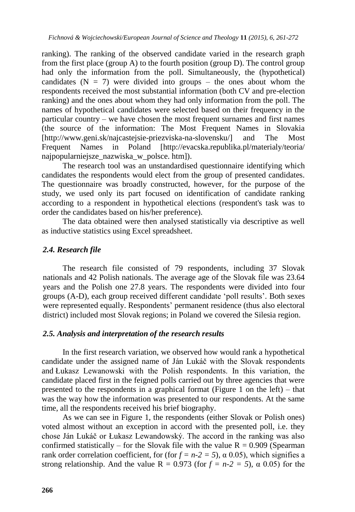ranking). The ranking of the observed candidate varied in the research graph from the first place (group A) to the fourth position (group D). The control group had only the information from the poll. Simultaneously, the (hypothetical) candidates  $(N = 7)$  were divided into groups – the ones about whom the respondents received the most substantial information (both CV and pre-election ranking) and the ones about whom they had only information from the poll. The names of hypothetical candidates were selected based on their frequency in the particular country – we have chosen the most frequent surnames and first names (the source of the information: The Most Frequent Names in Slovakia [http://www.geni.sk/najcastejsie-priezviska-na-slovensku/] and The Most Frequent Names in Poland [http://evacska.republika.pl/materialy/teoria/ najpopularniejsze\_nazwiska\_w\_polsce. htm]).

The research tool was an unstandardised questionnaire identifying which candidates the respondents would elect from the group of presented candidates. The questionnaire was broadly constructed, however, for the purpose of the study, we used only its part focused on identification of candidate ranking according to a respondent in hypothetical elections (respondent's task was to order the candidates based on his/her preference).

The data obtained were then analysed statistically via descriptive as well as inductive statistics using Excel spreadsheet.

# *2.4. Research file*

The research file consisted of 79 respondents, including 37 Slovak nationals and 42 Polish nationals. The average age of the Slovak file was 23.64 years and the Polish one 27.8 years. The respondents were divided into four groups (A-D), each group received different candidate 'poll results'. Both sexes were represented equally. Respondents' permanent residence (thus also electoral district) included most Slovak regions; in Poland we covered the Silesia region.

### *2.5. Analysis and interpretation of the research results*

In the first research variation, we observed how would rank a hypothetical candidate under the assigned name of Ján Lukáč with the Slovak respondents and Łukasz Lewanowski with the Polish respondents. In this variation, the candidate placed first in the feigned polls carried out by three agencies that were presented to the respondents in a graphical format (Figure 1 on the left) – that was the way how the information was presented to our respondents. At the same time, all the respondents received his brief biography.

As we can see in Figure 1, the respondents (either Slovak or Polish ones) voted almost without an exception in accord with the presented poll, i.e. they chose Ján Lukáč or Łukasz Lewandowský. The accord in the ranking was also confirmed statistically – for the Slovak file with the value  $R = 0.909$  (Spearman rank order correlation coefficient, for (for  $f = n-2 = 5$ ),  $\alpha$  0.05), which signifies a strong relationship. And the value  $R = 0.973$  (for  $f = n-2 = 5$ ),  $\alpha$  0.05) for the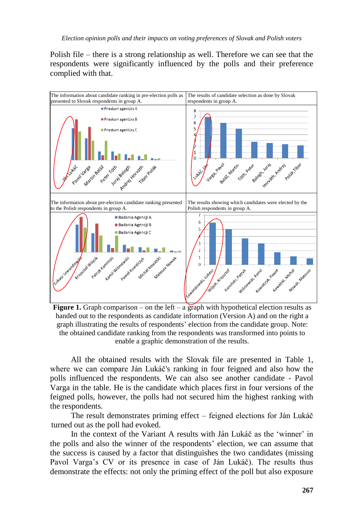Polish file – there is a strong relationship as well. Therefore we can see that the respondents were significantly influenced by the polls and their preference complied with that.



Figure 1. Graph comparison – on the left – a graph with hypothetical election results as handed out to the respondents as candidate information (Version A) and on the right a graph illustrating the results of respondents' election from the candidate group. Note: the obtained candidate ranking from the respondents was transformed into points to enable a graphic demonstration of the results.

All the obtained results with the Slovak file are presented in Table 1, where we can compare Ján Lukáč's ranking in four feigned and also how the polls influenced the respondents. We can also see another candidate - Pavol Varga in the table. He is the candidate which places first in four versions of the feigned polls, however, the polls had not secured him the highest ranking with the respondents.

The result demonstrates priming effect – feigned elections for Ján Lukáč turned out as the poll had evoked.

In the context of the Variant A results with Ján Lukáč as the 'winner' in the polls and also the winner of the respondents' election, we can assume that the success is caused by a factor that distinguishes the two candidates (missing Pavol Varga's CV or its presence in case of Ján Lukáč). The results thus demonstrate the effects: not only the priming effect of the poll but also exposure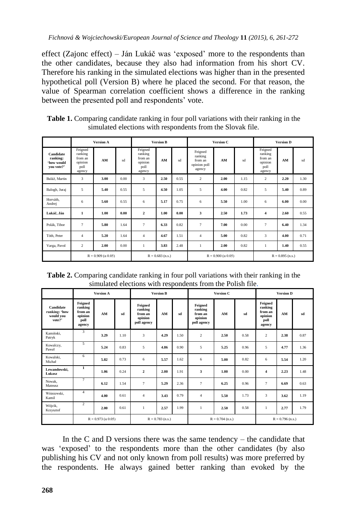effect (Zajonc effect) – Ján Lukáč was 'exposed' more to the respondents than the other candidates, because they also had information from his short CV. Therefore his ranking in the simulated elections was higher than in the presented hypothetical poll (Version B) where he placed the second. For that reason, the value of Spearman correlation coefficient shows a difference in the ranking between the presented poll and respondents' vote.

| <b>Table 1.</b> Comparing candidate ranking in four poll variations with their ranking in the |
|-----------------------------------------------------------------------------------------------|
| simulated elections with respondents from the Slovak file.                                    |

|                                                   | <b>Version A</b>                                           |      |      | <b>Version B</b>                                           |      |      | Version C                                               |      |      | <b>Version D</b>                                           |      |      |
|---------------------------------------------------|------------------------------------------------------------|------|------|------------------------------------------------------------|------|------|---------------------------------------------------------|------|------|------------------------------------------------------------|------|------|
| Candidate<br>ranking:<br>'how would<br>you vote?' | Feigned<br>ranking<br>from an<br>opinion<br>poll<br>agency | AM   | sd   | Feigned<br>ranking<br>from an<br>opinion<br>poll<br>agency | AM   | sd   | Feigned<br>ranking<br>from an<br>opinion poll<br>agency | AM   | sd   | Feigned<br>ranking<br>from an<br>opinion<br>poll<br>agency | AM   | sd   |
| Baláž, Martin                                     | 3                                                          | 3.00 | 0.00 | 3                                                          | 2.50 | 0.55 | 2                                                       | 2.00 | 1.15 | 2                                                          | 2.20 | 1.30 |
| Balogh, Juraj                                     | 5                                                          | 5.40 | 0.55 | 5                                                          | 4.50 | 1.05 | 5                                                       | 4.00 | 0.82 | 5                                                          | 5.40 | 0.89 |
| Horváth.<br>Andrej                                | 6                                                          | 5.60 | 0.55 | 6                                                          | 5.17 | 0.75 | 6                                                       | 5.50 | 1.00 | 6                                                          | 6.00 | 0.00 |
| Lukáč, Ján                                        | $\mathbf{1}$                                               | 1.00 | 0.00 | $\overline{\mathbf{c}}$                                    | 1.00 | 0.00 | 3                                                       | 2.50 | 1.73 | $\overline{\mathbf{4}}$                                    | 2.60 | 0.55 |
| Polák, Tibor                                      | $\overline{7}$                                             | 5.80 | 1.64 | $\overline{7}$                                             | 6.33 | 0.82 | $\overline{7}$                                          | 7.00 | 0.00 | $\overline{7}$                                             | 6.40 | 1.34 |
| Tóth, Peter                                       | $\overline{4}$                                             | 5.20 | 1.64 | 4                                                          | 4.67 | 1.51 | $\overline{4}$                                          | 5.00 | 0.82 | 3                                                          | 4.00 | 0.71 |
| Varga, Pavol                                      | $\overline{c}$                                             | 2.00 | 0.00 | 1                                                          | 3.83 | 2.48 | $\mathbf{1}$                                            | 2.00 | 0.82 | $\mathbf{1}$                                               | 1.40 | 0.55 |
|                                                   | $R = 0.909$ ( $\alpha$ 0.05)                               |      |      | $R = 0.683$ (n.s.)                                         |      |      | $R = 0.900$ (a 0.05)                                    |      |      | $R = 0.895$ (n.s.)                                         |      |      |

**Table 2.** Comparing candidate ranking in four poll variations with their ranking in the simulated elections with respondents from the Polish file.

|                                                   | <b>Version A</b>                                           |      |      | <b>Version B</b>                                        |      |      | Version C                                               |      |      | <b>Version D</b>                                           |      |      |
|---------------------------------------------------|------------------------------------------------------------|------|------|---------------------------------------------------------|------|------|---------------------------------------------------------|------|------|------------------------------------------------------------|------|------|
| Candidate<br>ranking: 'how<br>would you<br>vote?' | Feigned<br>ranking<br>from an<br>opinion<br>poll<br>agency | AM   | sd   | Feigned<br>ranking<br>from an<br>opinion<br>poll agency | AM   | sd   | Feigned<br>ranking<br>from an<br>opinion<br>poll agency | AM   | sd   | Feigned<br>ranking<br>from an<br>opinion<br>poll<br>agency | AM   | sd   |
| Kamiński.<br>Patryk                               | 3                                                          | 3.29 | 1.10 | 3                                                       | 4.29 | 1.50 | 2                                                       | 2.50 | 0.58 | 2                                                          | 2.38 | 0.87 |
| Kowalczy,<br>Paweł                                | 5                                                          | 5.24 | 0.83 | 5                                                       | 4.86 | 0.90 | 5                                                       | 5.25 | 0.96 | 5                                                          | 4.77 | 1.36 |
| Kowalski.<br>Michał                               | 6                                                          | 5.82 | 0.73 | 6                                                       | 5.57 | 1.62 | 6                                                       | 5.00 | 0.82 | 6                                                          | 5.54 | 1.20 |
| Lewandowski.<br>Lukasz                            | $\mathbf{1}$                                               | 1.06 | 0.24 | $\overline{\mathbf{c}}$                                 | 2.00 | 1.91 | 3                                                       | 1.00 | 0.00 | $\overline{\mathbf{4}}$                                    | 2.23 | 1.48 |
| Nowak.<br>Mateusz                                 | 7                                                          | 6.12 | 1.54 | 7                                                       | 5.29 | 2.36 | 7                                                       | 6.25 | 0.96 | $\overline{7}$                                             | 6.69 | 0.63 |
| Wiśniewski,<br>Kamil                              | $\overline{4}$                                             | 4.00 | 0.61 | $\overline{4}$                                          | 3.43 | 0.79 | $\overline{4}$                                          | 5.50 | 1.73 | $\overline{\mathbf{3}}$                                    | 3.62 | 1.19 |
| Wójcik,<br>Krzysztof                              | $\overline{2}$                                             | 2.00 | 0.61 | $\mathbf{1}$                                            | 2.57 | 1.99 | 1                                                       | 2.50 | 0.58 | $\mathbf{1}$                                               | 2.77 | 1.79 |
|                                                   | $R = 0.973$ ( $\alpha$ 0.05)                               |      |      | $R = 0.783$ (n.s.)                                      |      |      | $R = 0.704$ (n.s.)                                      |      |      | $R = 0.796$ (n.s.)                                         |      |      |

In the C and D versions there was the same tendency  $-$  the candidate that was 'exposed' to the respondents more than the other candidates (by also publishing his CV and not only known from poll results) was more preferred by the respondents. He always gained better ranking than evoked by the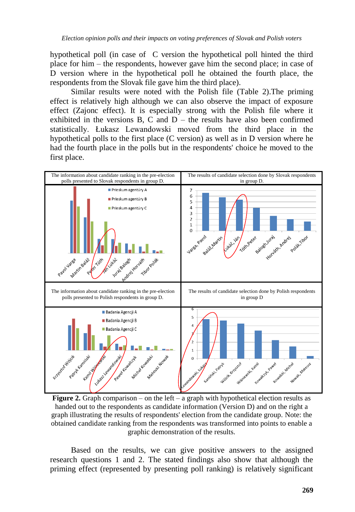hypothetical poll (in case of C version the hypothetical poll hinted the third place for him – the respondents, however gave him the second place; in case of D version where in the hypothetical poll he obtained the fourth place, the respondents from the Slovak file gave him the third place).

Similar results were noted with the Polish file (Table 2).The priming effect is relatively high although we can also observe the impact of exposure effect (Zajonc effect). It is especially strong with the Polish file where it exhibited in the versions B, C and  $D -$  the results have also been confirmed statistically. Łukasz Lewandowski moved from the third place in the hypothetical polls to the first place (C version) as well as in D version where he had the fourth place in the polls but in the respondents' choice he moved to the first place.



**Figure 2.** Graph comparison – on the left – a graph with hypothetical election results as handed out to the respondents as candidate information (Version D) and on the right a graph illustrating the results of respondents' election from the candidate group. Note: the obtained candidate ranking from the respondents was transformed into points to enable a graphic demonstration of the results.

Based on the results, we can give positive answers to the assigned research questions 1 and 2. The stated findings also show that although the priming effect (represented by presenting poll ranking) is relatively significant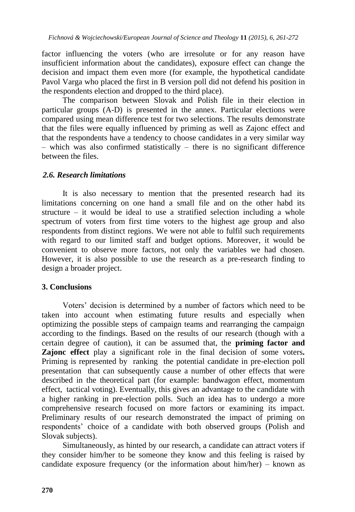factor influencing the voters (who are irresolute or for any reason have insufficient information about the candidates), exposure effect can change the decision and impact them even more (for example, the hypothetical candidate Pavol Varga who placed the first in B version poll did not defend his position in the respondents election and dropped to the third place).

The comparison between Slovak and Polish file in their election in particular groups (A-D) is presented in the annex. Particular elections were compared using mean difference test for two selections. The results demonstrate that the files were equally influenced by priming as well as Zajonc effect and that the respondents have a tendency to choose candidates in a very similar way – which was also confirmed statistically – there is no significant difference between the files.

# *2.6. Research limitations*

It is also necessary to mention that the presented research had its limitations concerning on one hand a small file and on the other habd its structure – it would be ideal to use a stratified selection including a whole spectrum of voters from first time voters to the highest age group and also respondents from distinct regions. We were not able to fulfil such requirements with regard to our limited staff and budget options. Moreover, it would be convenient to observe more factors, not only the variables we had chosen. However, it is also possible to use the research as a pre-research finding to design a broader project.

### **3. Conclusions**

Voters' decision is determined by a number of factors which need to be taken into account when estimating future results and especially when optimizing the possible steps of campaign teams and rearranging the campaign according to the findings. Based on the results of our research (though with a certain degree of caution), it can be assumed that, the **priming factor and Zajonc effect** play a significant role in the final decision of some voters*.* Priming is represented by ranking the potential candidate in pre-election poll presentation that can subsequently cause a number of other effects that were described in the theoretical part (for example: bandwagon effect, momentum effect, tactical voting). Eventually, this gives an advantage to the candidate with a higher ranking in pre-election polls. Such an idea has to undergo a more comprehensive research focused on more factors or examining its impact. Preliminary results of our research demonstrated the impact of priming on respondents' choice of a candidate with both observed groups (Polish and Slovak subjects).

Simultaneously, as hinted by our research, a candidate can attract voters if they consider him/her to be someone they know and this feeling is raised by candidate exposure frequency (or the information about him/her) – known as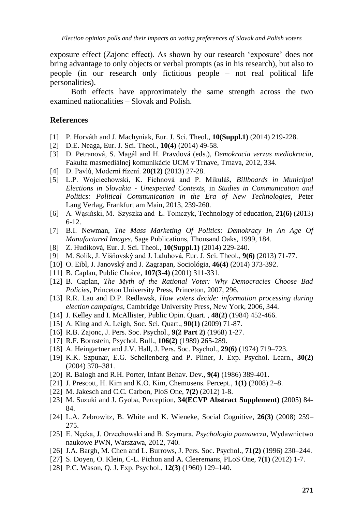exposure effect (Zajonc effect). As shown by our research 'exposure' does not bring advantage to only objects or verbal prompts (as in his research), but also to people (in our research only fictitious people – not real political life personalities).

Both effects have approximately the same strength across the two examined nationalities – Slovak and Polish.

#### **References**

- [1] P. Horváth and J. Machyniak, Eur. J. Sci. Theol., **10(Suppl.1)** (2014) 219-228.
- [2] D.E. Neaga**,** Eur. J. Sci. Theol., **10(4)** (2014) 49-58.
- [3] D. Petranová, S. Magál and H. Pravdová (eds.), *Demokracia verzus mediokracia*, Fakulta masmediálnej komunikácie UCM v Trnave, Trnava, 2012, 334.
- [4] D. Pavlů, Moderní řízení. **20(12)** (2013) 27-28.
- [5] Ł.P. Wojciechowski, K. Fichnová and P. Mikuláš, *Billboards in Municipal Elections in Slovakia - Unexpected Contexts,* in *Studies in Communication and Politics: Political Communication in the Era of New Technologies*, Peter Lang Verlag, Frankfurt am Main, 2013, 239-260.
- [6] A. Wąsiński, M. Szyszka and Ł. Tomczyk, Technology of education, **21(6)** (2013) 6-12.
- [7] B.I. Newman, *The Mass Marketing Of Politics: Demokracy In An Age Of Manufactured Images*, Sage Publications, Thousand Oaks, 1999, 184.
- [8] Z. Hudíková, Eur. J. Sci. Theol., **10(Suppl.1)** (2014) 229-240.
- [9] M. Solík, J. Višňovský and J. Laluhová, Eur. J. Sci. Theol., **9(6)** (2013) 71-77.
- [10] O. Eibl, J. Janovský and J. Zagrapan, Sociológia, **46(4)** (2014) 373-392.
- [11] B. Caplan, Public Choice, **107(3-4)** (2001) 311-331.
- [12] B. Caplan, *The Myth of the Rational Voter: Why Democracies Choose Bad Policies*, Princeton University Press, Princeton, 2007, 296.
- [13] R.R. Lau and D.P. Redlawsk, *How voters decide: information processing during election campaigns*, Cambridge University Press, New York, 2006, 344.
- [14] J. Kelley and I. McAllister, Public Opin. Quart. , **48(2)** (1984) 452-466.
- [15] A. King and A. Leigh, Soc. Sci. Quart., **90(1)** (2009) 71-87.
- [16] R.B. Zajonc, J. Pers. Soc. Psychol., **9(2 Part 2)** (1968) 1-27.
- [17] R.F. Bornstein, Psychol. Bull., **106(2)** (1989) 265-289.
- [18] A. Heingartner and J.V. Hall, J. Pers. Soc. Psychol., **29(6)** (1974) 719–723.
- [19] K.K. Szpunar, E.G. Schellenberg and P. Pliner, J. Exp. Psychol. Learn., **30(2)** (2004) 370–381.
- [20] R. Balogh and R.H. Porter, Infant Behav. Dev.*,* **9(4)** (1986) 389-401.
- [21] J. Prescott, H. Kim and K.O. Kim, Chemosens. Percept., **1(1)** (2008) 2–8.
- [22] M. Jakesch and C.C. Carbon, PloS One, **7(2)** (2012) 1-8.
- [23] M. Suzuki and J. Gyoba, Perception, **34(ECVP Abstract Supplement)** (2005) 84- 84.
- [24] L.A. Zebrowitz, B. White and K. Wieneke, Social Cognitive, **26(3)** (2008) 259– 275.
- [25] E. Nęcka, J. Orzechowski and B. Szymura, *Psychologia poznawcza*, Wydawnictwo naukowe PWN, Warszawa, 2012, 740.
- [26] J.A. Bargh, M. Chen and L. Burrows, J. Pers. Soc. Psychol., **71(2)** (1996) 230–244.
- [27] S. Doyen, O. Klein, C-L. Pichon and A. Cleeremans, PLoS One, **7(1)** (2012) 1-7.
- [28] P.C. Wason, Q. J. Exp. Psychol., **12(3)** (1960) 129–140.